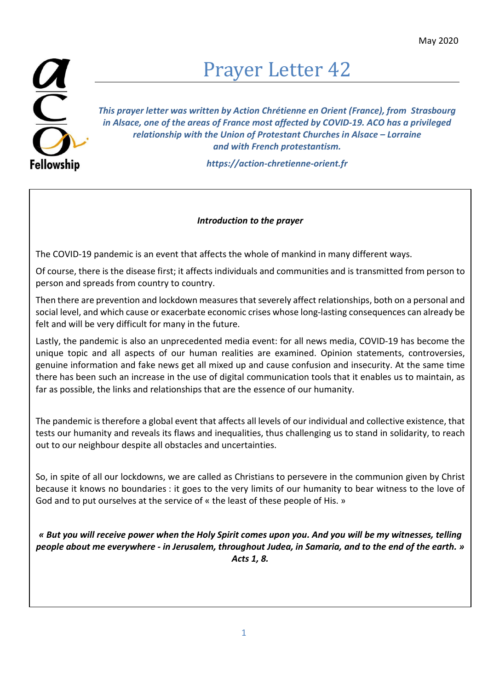## $\frac{1}{2}$ **Fellowship**

## Prayer Letter 42

This prayer letter was written by Action Chrétienne en Orient (France), from Strasbourg in Alsace, one of the areas of France most affected by COVID-19. ACO has a privileged relationship with the Union of Protestant Churches in Alsace – Lorraine and with French protestantism.

https://action-chretienne-orient.fr

## Introduction to the prayer

The COVID-19 pandemic is an event that affects the whole of mankind in many different ways.

Of course, there is the disease first; it affects individuals and communities and is transmitted from person to person and spreads from country to country.

Then there are prevention and lockdown measures that severely affect relationships, both on a personal and social level, and which cause or exacerbate economic crises whose long-lasting consequences can already be felt and will be very difficult for many in the future.

Lastly, the pandemic is also an unprecedented media event: for all news media, COVID-19 has become the unique topic and all aspects of our human realities are examined. Opinion statements, controversies, genuine information and fake news get all mixed up and cause confusion and insecurity. At the same time there has been such an increase in the use of digital communication tools that it enables us to maintain, as far as possible, the links and relationships that are the essence of our humanity.

The pandemic is therefore a global event that affects all levels of our individual and collective existence, that tests our humanity and reveals its flaws and inequalities, thus challenging us to stand in solidarity, to reach out to our neighbour despite all obstacles and uncertainties.

So, in spite of all our lockdowns, we are called as Christians to persevere in the communion given by Christ because it knows no boundaries : it goes to the very limits of our humanity to bear witness to the love of God and to put ourselves at the service of « the least of these people of His. »

« But you will receive power when the Holy Spirit comes upon you. And you will be my witnesses, telling people about me everywhere - in Jerusalem, throughout Judea, in Samaria, and to the end of the earth. » Acts 1, 8.